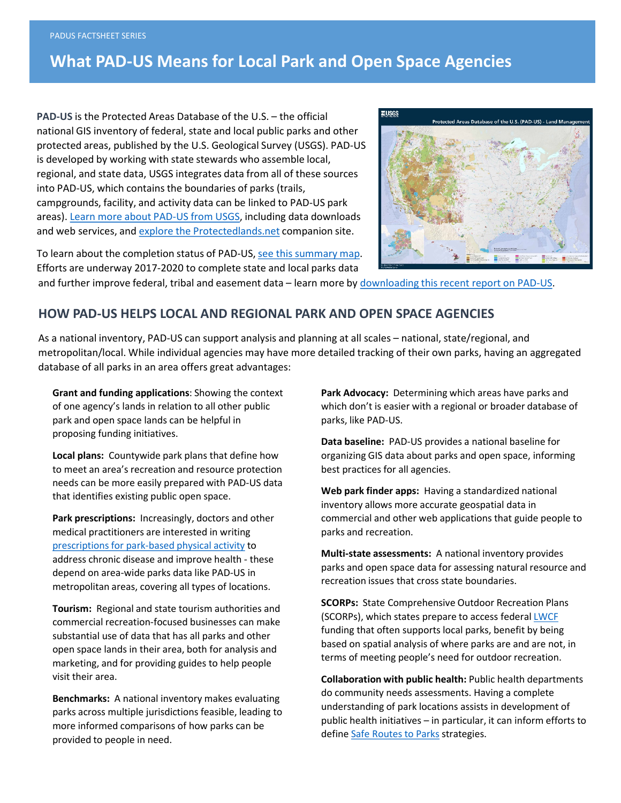## **What PAD-US Means for Local Park and Open Space Agencies**

**PAD-US** is the Protected Areas Database of the U.S. – the official national GIS inventory of federal, state and local public parks and other protected areas, published by the U.S. Geological Survey (USGS). PAD-US is developed by working with state stewards who assemble local, regional, and state data, USGS integrates data from all of these sources into PAD-US, which contains the boundaries of parks (trails, campgrounds, facility, and activity data can be linked to PAD-US park areas). Learn more about PAD-US from USGS, including data downloads and web services, and [explore the Protectedlands.net](http://www.protectedlands.net/) companion site.

To learn about the completion status of PAD-US, [see this summary map.](http://www.protectedlands.net/partners/) Efforts are underway 2017-2020 to complete state and local parks data



and further improve federal, tribal and easement data – learn more by [downloading this recent report on PAD-US.](http://www.protectedlands.net/vision)

## **HOW PAD-US HELPS LOCAL AND REGIONAL PARK AND OPEN SPACE AGENCIES**

As a national inventory, PAD-US can support analysis and planning at all scales – national, state/regional, and metropolitan/local. While individual agencies may have more detailed tracking of their own parks, having an aggregated database of all parks in an area offers great advantages:

**Grant and funding applications**: Showing the context of one agency's lands in relation to all other public park and open space lands can be helpful in proposing funding initiatives.

**Local plans:** Countywide park plans that define how to meet an area's recreation and resource protection needs can be more easily prepared with PAD-US data that identifies existing public open space.

**Park prescriptions:** Increasingly, doctors and other medical practitioners are interested in writing [prescriptions for park-based physical activity](http://www.parkrx.org/) to address chronic disease and improve health - these depend on area-wide parks data like PAD-US in metropolitan areas, covering all types of locations.

**Tourism:** Regional and state tourism authorities and commercial recreation-focused businesses can make substantial use of data that has all parks and other open space lands in their area, both for analysis and marketing, and for providing guides to help people visit their area.

**Benchmarks:** A national inventory makes evaluating parks across multiple jurisdictions feasible, leading to more informed comparisons of how parks can be provided to people in need.

**Park Advocacy:** Determining which areas have parks and which don't is easier with a regional or broader database of parks, like PAD-US.

**Data baseline:** PAD-US provides a national baseline for organizing GIS data about parks and open space, informing best practices for all agencies.

**Web park finder apps:** Having a standardized national inventory allows more accurate geospatial data in commercial and other web applications that guide people to parks and recreation.

**Multi-state assessments:** A national inventory provides parks and open space data for assessing natural resource and recreation issues that cross state boundaries.

**SCORPs:** State Comprehensive Outdoor Recreation Plans (SCORPs), which states prepare to access federal [LWCF](https://www.nps.gov/subjects/lwcf/index.htm) funding that often supports local parks, benefit by being based on spatial analysis of where parks are and are not, in terms of meeting people's need for outdoor recreation.

**Collaboration with public health:** Public health departments do community needs assessments. Having a complete understanding of park locations assists in development of public health initiatives – in particular, it can inform efforts to define [Safe Routes to Parks](http://www.nrpa.org/Safe-Routes-To-Parks/) strategies.